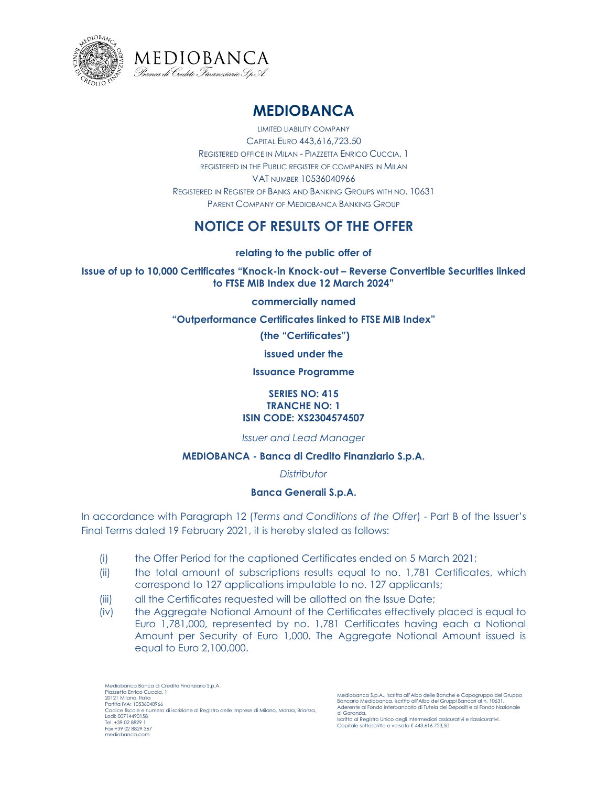



# **MEDIOBANCA**

LIMITED LIABILITY COMPANY CAPITAL EURO 443,616,723.50 REGISTERED OFFICE IN MILAN - PIAZZETTA ENRICO CUCCIA, 1 REGISTERED IN THE PUBLIC REGISTER OF COMPANIES IN MILAN VAT NUMBER 10536040966 REGISTERED IN REGISTER OF BANKS AND BANKING GROUPS WITH NO. 10631 PARENT COMPANY OF MEDIOBANCA BANKING GROUP

# **NOTICE OF RESULTS OF THE OFFER**

**relating to the public offer of**

**Issue of up to 10,000 Certificates "Knock-in Knock-out – Reverse Convertible Securities linked to FTSE MIB Index due 12 March 2024"**

**commercially named**

**"Outperformance Certificates linked to FTSE MIB Index"**

**(the "Certificates")** 

**issued under the** 

**Issuance Programme**

#### **SERIES NO: 415 TRANCHE NO: 1 ISIN CODE: XS2304574507**

*Issuer and Lead Manager*

## **MEDIOBANCA - Banca di Credito Finanziario S.p.A.**

*Distributor*

## **Banca Generali S.p.A.**

In accordance with Paragraph 12 (*Terms and Conditions of the Offer*) - Part B of the Issuer's Final Terms dated 19 February 2021, it is hereby stated as follows:

- (i) the Offer Period for the captioned Certificates ended on 5 March 2021;
- (ii) the total amount of subscriptions results equal to no. 1,781 Certificates, which correspond to 127 applications imputable to no. 127 applicants;
- (iii) all the Certificates requested will be allotted on the Issue Date;
- (iv) the Aggregate Notional Amount of the Certificates effectively placed is equal to Euro 1,781,000, represented by no. 1,781 Certificates having each a Notional Amount per Security of Euro 1,000. The Aggregate Notional Amount issued is equal to Euro 2,100,000.

Iscritta al Registro Unico degli Intermediari assicurativi e riassicurativi. Capitale sottoscritto e versato € 443.616.723,50